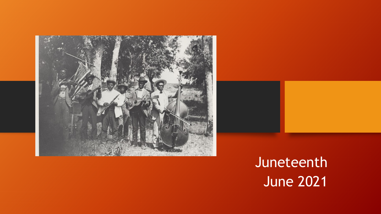



## Juneteenth June 2021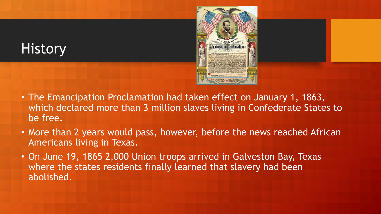## **History**



- The Emancipation Proclamation had taken effect on January 1, 1863, which declared more than 3 million slaves living in Confederate States to be free.
- More than 2 years would pass, however, before the news reached African Americans living in Texas.
- On June 19, 1865 2,000 Union troops arrived in Galveston Bay, Texas where the states residents finally learned that slavery had been abolished.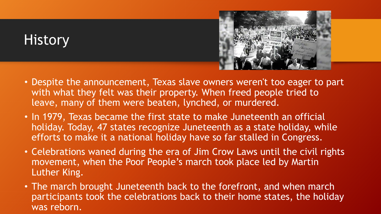## **History**



- Despite the announcement, Texas slave owners weren't too eager to part with what they felt was their property. When freed people tried to leave, many of them were beaten, lynched, or murdered.
- In 1979, Texas became the first state to make Juneteenth an official holiday. Today, 47 states recognize Juneteenth as a state holiday, while efforts to make it a national holiday have so far stalled in Congress.
- Celebrations waned during the era of Jim Crow Laws until the civil rights movement, when the Poor People's march took place led by Martin Luther King.
- The march brought Juneteenth back to the forefront, and when march participants took the celebrations back to their home states, the holiday was reborn.